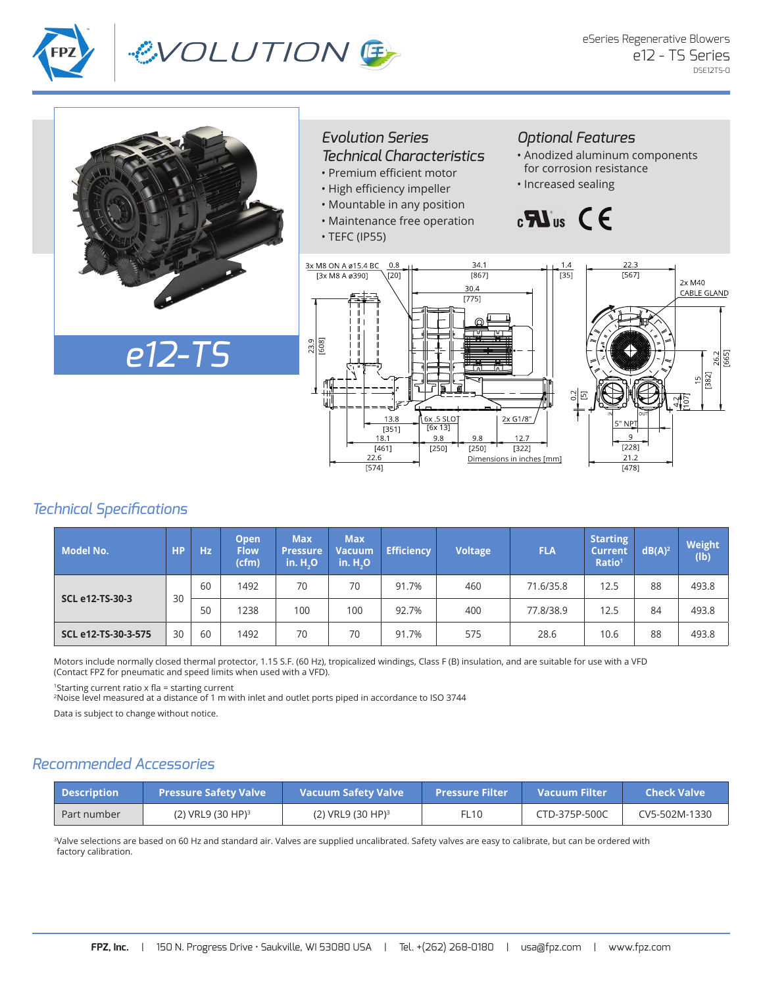

# &VOLUTION E



#### *Evolution Series Technical Characteristics*

- Premium efficient motor
- High efficiency impeller
- Mountable in any position
- Maintenance free operation
- TEFC (IP55)

### *Optional Features*

- Anodized aluminum components for corrosion resistance
- Increased sealing

## $\mathbf{B}$   $\mathbf{B}$   $\mathbf{B}$



### *Technical Specifications*

| <b>Model No.</b>       | <b>HP</b> | Hz | Open<br><b>Flow</b><br>(cfm) | <b>Max</b><br><b>Pressure</b><br>in.H, O | <b>Max</b><br>Vacuum<br>in. H <sub>2</sub> O | <b>Efficiency</b> | <b>Voltage</b> | <b>FLA</b> | <b>Starting</b><br><b>Current</b><br>Ratio <sup>1</sup> | $dB(A)^2$ | <b>Weight</b><br>(lb) |
|------------------------|-----------|----|------------------------------|------------------------------------------|----------------------------------------------|-------------------|----------------|------------|---------------------------------------------------------|-----------|-----------------------|
| <b>SCL e12-TS-30-3</b> | 30        | 60 | 1492                         | 70                                       | 70                                           | 91.7%             | 460            | 71.6/35.8  | 12.5                                                    | 88        | 493.8                 |
|                        |           | 50 | 1238                         | 100                                      | 100                                          | 92.7%             | 400            | 77.8/38.9  | 12.5                                                    | 84        | 493.8                 |
| SCL e12-TS-30-3-575    | 30        | 60 | 1492                         | 70                                       | 70                                           | 91.7%             | 575            | 28.6       | 10.6                                                    | 88        | 493.8                 |

Motors include normally closed thermal protector, 1.15 S.F. (60 Hz), tropicalized windings, Class F (B) insulation, and are suitable for use with a VFD (Contact FPZ for pneumatic and speed limits when used with a VFD).

<sup>1</sup>Starting current ratio x fla = starting current

<sup>2</sup>Noise level measured at a distance of 1 m with inlet and outlet ports piped in accordance to ISO 3744

Data is subject to change without notice.

### *Recommended Accessories*

| <b>Description</b> | <b>Pressure Safety Valve</b> | <b>Vacuum Safety Valve</b> | <b>Pressure Filter</b> | Vacuum Filter | <b>Check Valve</b> |
|--------------------|------------------------------|----------------------------|------------------------|---------------|--------------------|
| Part number        | $(2)$ VRL9 $(30$ HP $)^3$    | $(2)$ VRL9 $(30$ HP $)^3$  | FL10                   | CTD-375P-500C | CV5-502M-1330      |

<sup>3</sup>Valve selections are based on 60 Hz and standard air. Valves are supplied uncalibrated. Safety valves are easy to calibrate, but can be ordered with factory calibration.